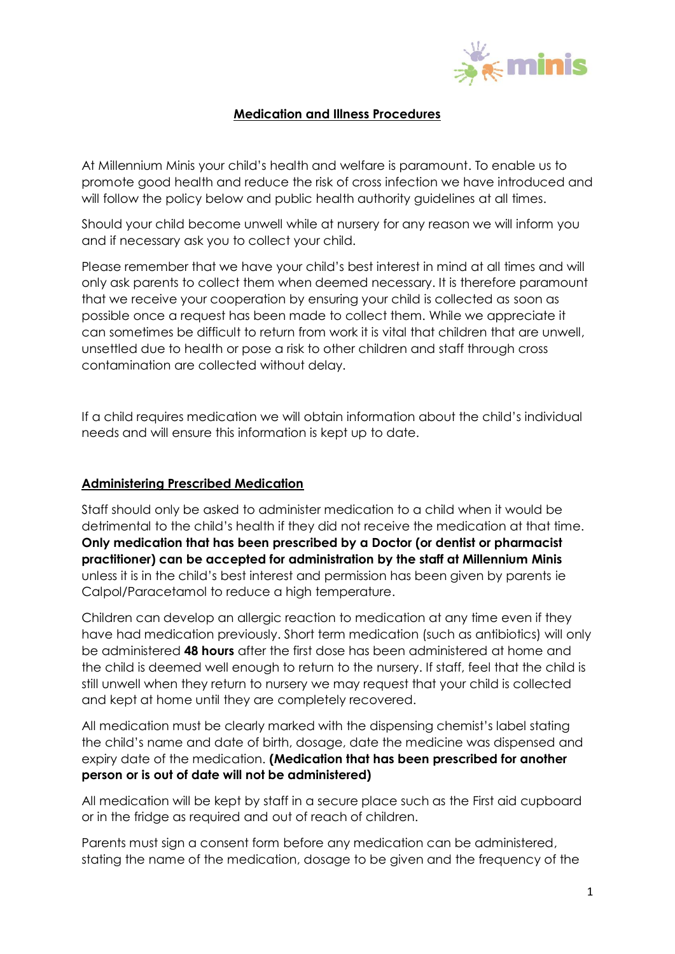

# **Medication and Illness Procedures**

At Millennium Minis your child's health and welfare is paramount. To enable us to promote good health and reduce the risk of cross infection we have introduced and will follow the policy below and public health authority guidelines at all times.

Should your child become unwell while at nursery for any reason we will inform you and if necessary ask you to collect your child.

Please remember that we have your child's best interest in mind at all times and will only ask parents to collect them when deemed necessary. It is therefore paramount that we receive your cooperation by ensuring your child is collected as soon as possible once a request has been made to collect them. While we appreciate it can sometimes be difficult to return from work it is vital that children that are unwell, unsettled due to health or pose a risk to other children and staff through cross contamination are collected without delay.

If a child requires medication we will obtain information about the child's individual needs and will ensure this information is kept up to date.

# **Administering Prescribed Medication**

Staff should only be asked to administer medication to a child when it would be detrimental to the child's health if they did not receive the medication at that time. **Only medication that has been prescribed by a Doctor (or dentist or pharmacist practitioner) can be accepted for administration by the staff at Millennium Minis** unless it is in the child's best interest and permission has been given by parents ie Calpol/Paracetamol to reduce a high temperature.

Children can develop an allergic reaction to medication at any time even if they have had medication previously. Short term medication (such as antibiotics) will only be administered **48 hours** after the first dose has been administered at home and the child is deemed well enough to return to the nursery. If staff, feel that the child is still unwell when they return to nursery we may request that your child is collected and kept at home until they are completely recovered.

All medication must be clearly marked with the dispensing chemist's label stating the child's name and date of birth, dosage, date the medicine was dispensed and expiry date of the medication. **(Medication that has been prescribed for another person or is out of date will not be administered)**

All medication will be kept by staff in a secure place such as the First aid cupboard or in the fridge as required and out of reach of children.

Parents must sign a consent form before any medication can be administered, stating the name of the medication, dosage to be given and the frequency of the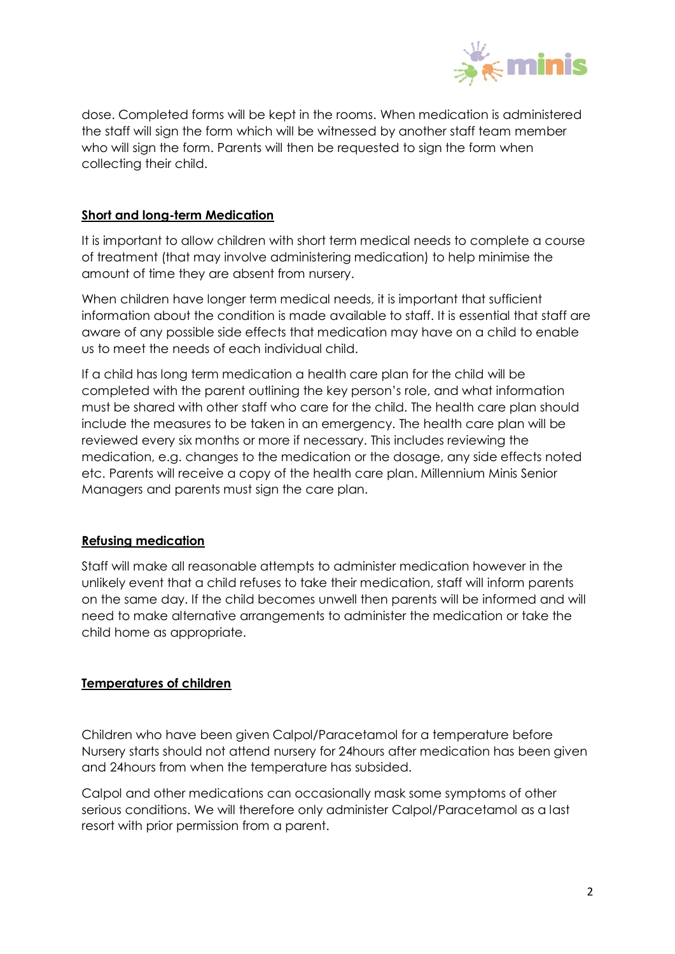

dose. Completed forms will be kept in the rooms. When medication is administered the staff will sign the form which will be witnessed by another staff team member who will sign the form. Parents will then be requested to sign the form when collecting their child.

### **Short and long-term Medication**

It is important to allow children with short term medical needs to complete a course of treatment (that may involve administering medication) to help minimise the amount of time they are absent from nursery.

When children have longer term medical needs, it is important that sufficient information about the condition is made available to staff. It is essential that staff are aware of any possible side effects that medication may have on a child to enable us to meet the needs of each individual child.

If a child has long term medication a health care plan for the child will be completed with the parent outlining the key person's role, and what information must be shared with other staff who care for the child. The health care plan should include the measures to be taken in an emergency. The health care plan will be reviewed every six months or more if necessary. This includes reviewing the medication, e.g. changes to the medication or the dosage, any side effects noted etc. Parents will receive a copy of the health care plan. Millennium Minis Senior Managers and parents must sign the care plan.

# **Refusing medication**

Staff will make all reasonable attempts to administer medication however in the unlikely event that a child refuses to take their medication, staff will inform parents on the same day. If the child becomes unwell then parents will be informed and will need to make alternative arrangements to administer the medication or take the child home as appropriate.

# **Temperatures of children**

Children who have been given Calpol/Paracetamol for a temperature before Nursery starts should not attend nursery for 24hours after medication has been given and 24hours from when the temperature has subsided.

Calpol and other medications can occasionally mask some symptoms of other serious conditions. We will therefore only administer Calpol/Paracetamol as a last resort with prior permission from a parent.